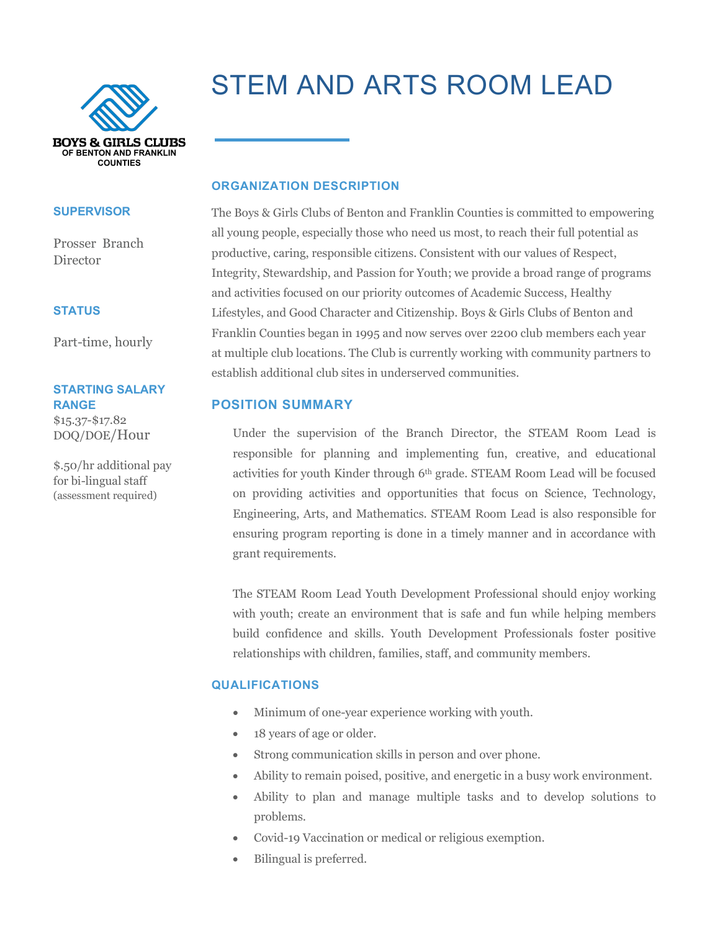## STEM AND ARTS ROOM LEAD



#### **ORGANIZATION DESCRIPTION**

### The Boys & Girls Clubs of Benton and Franklin Counties is committed to empowering all young people, especially those who need us most, to reach their full potential as productive, caring, responsible citizens. Consistent with our values of Respect, Integrity, Stewardship, and Passion for Youth; we provide a broad range of programs and activities focused on our priority outcomes of Academic Success, Healthy Lifestyles, and Good Character and Citizenship. Boys & Girls Clubs of Benton and Franklin Counties began in 1995 and now serves over 2200 club members each year at multiple club locations. The Club is currently working with community partners to establish additional club sites in underserved communities.

#### **POSITION SUMMARY**

Under the supervision of the Branch Director, the STEAM Room Lead is responsible for planning and implementing fun, creative, and educational activities for youth Kinder through 6th grade. STEAM Room Lead will be focused on providing activities and opportunities that focus on Science, Technology, Engineering, Arts, and Mathematics. STEAM Room Lead is also responsible for ensuring program reporting is done in a timely manner and in accordance with grant requirements.

The STEAM Room Lead Youth Development Professional should enjoy working with youth; create an environment that is safe and fun while helping members build confidence and skills. Youth Development Professionals foster positive relationships with children, families, staff, and community members.

#### **QUALIFICATIONS**

- Minimum of one-year experience working with youth.
- 18 years of age or older.
- Strong communication skills in person and over phone.
- Ability to remain poised, positive, and energetic in a busy work environment.
- Ability to plan and manage multiple tasks and to develop solutions to problems.
- Covid-19 Vaccination or medical or religious exemption.
- Bilingual is preferred.

#### **SUPERVISOR**

Prosser Branch **Director** 

#### **STATUS**

Part-time, hourly

#### **STARTING SALARY RANGE**

\$15.37-\$17.82 DOQ/DOE/Hour

\$.50/hr additional pay for bi-lingual staff (assessment required)